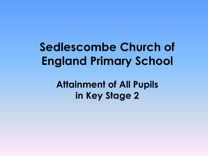**Sedlescombe Church of England Primary School**

> **Attainment of All Pupils in Key Stage 2**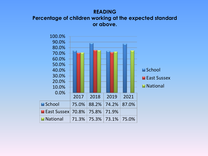#### **READING Percentage of children working at the expected standard or above.**

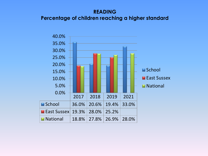# **READING Percentage of children reaching a higher standard**

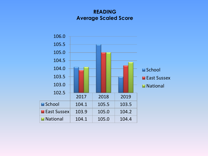# **READING Average Scaled Score**

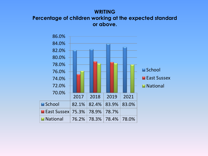### **WRITING Percentage of children working at the expected standard or above.**

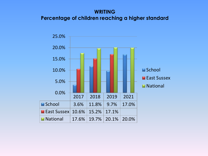# **WRITING Percentage of children reaching a higher standard**

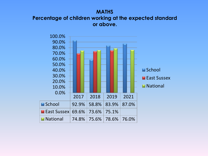### **MATHS Percentage of children working at the expected standard or above.**

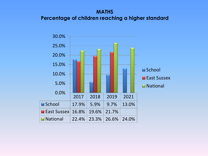## **MATHS Percentage of children reaching a higher standard**

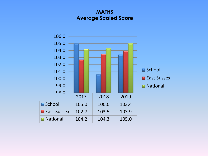### **MATHS Average Scaled Score**

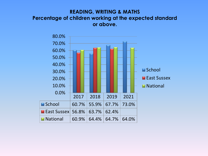### **READING, WRITING & MATHS Percentage of children working at the expected standard or above.**

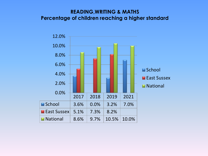### **READING,WRITING & MATHS Percentage of children reaching a higher standard**